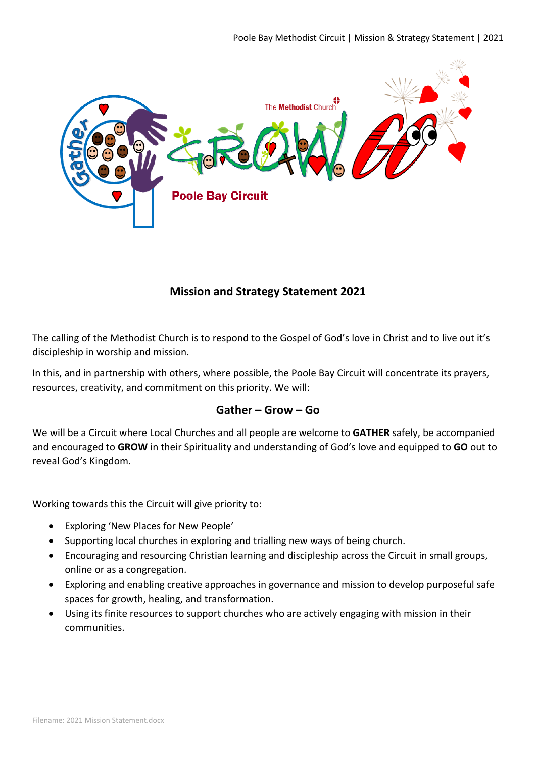

## **Mission and Strategy Statement 2021**

The calling of the Methodist Church is to respond to the Gospel of God's love in Christ and to live out it's discipleship in worship and mission.

In this, and in partnership with others, where possible, the Poole Bay Circuit will concentrate its prayers, resources, creativity, and commitment on this priority. We will:

## **Gather – Grow – Go**

We will be a Circuit where Local Churches and all people are welcome to **GATHER** safely, be accompanied and encouraged to **GROW** in their Spirituality and understanding of God's love and equipped to **GO** out to reveal God's Kingdom.

Working towards this the Circuit will give priority to:

- Exploring 'New Places for New People'
- Supporting local churches in exploring and trialling new ways of being church.
- Encouraging and resourcing Christian learning and discipleship across the Circuit in small groups, online or as a congregation.
- Exploring and enabling creative approaches in governance and mission to develop purposeful safe spaces for growth, healing, and transformation.
- Using its finite resources to support churches who are actively engaging with mission in their communities.